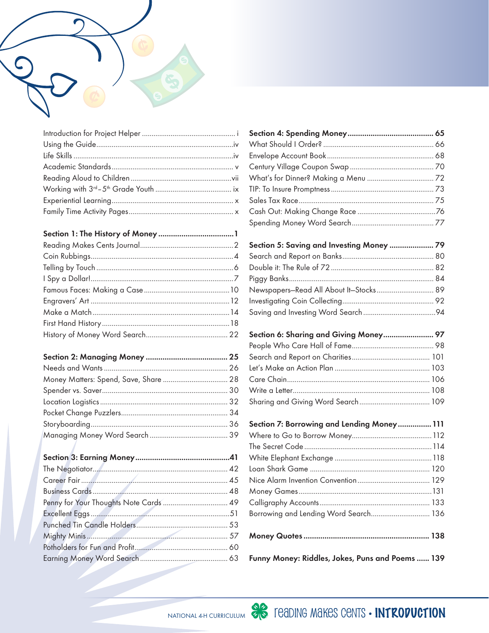

| Money Matters: Spend, Save, Share  28 |  |
|---------------------------------------|--|
|                                       |  |
|                                       |  |
|                                       |  |
|                                       |  |
|                                       |  |

| Section 5: Saving and Investing Money  79 |  |
|-------------------------------------------|--|
|                                           |  |
|                                           |  |
|                                           |  |
| Newspapers-Read All About It-Stocks 89    |  |
|                                           |  |
|                                           |  |

| Section 6: Sharing and Giving Money 97 |  |
|----------------------------------------|--|
|                                        |  |
|                                        |  |
|                                        |  |
|                                        |  |
|                                        |  |
|                                        |  |

| Section 7: Borrowing and Lending Money 111       |  |
|--------------------------------------------------|--|
|                                                  |  |
|                                                  |  |
|                                                  |  |
|                                                  |  |
|                                                  |  |
|                                                  |  |
|                                                  |  |
| Borrowing and Lending Word Search 136            |  |
|                                                  |  |
| Funny Money: Riddles, Jokes, Puns and Poems  139 |  |